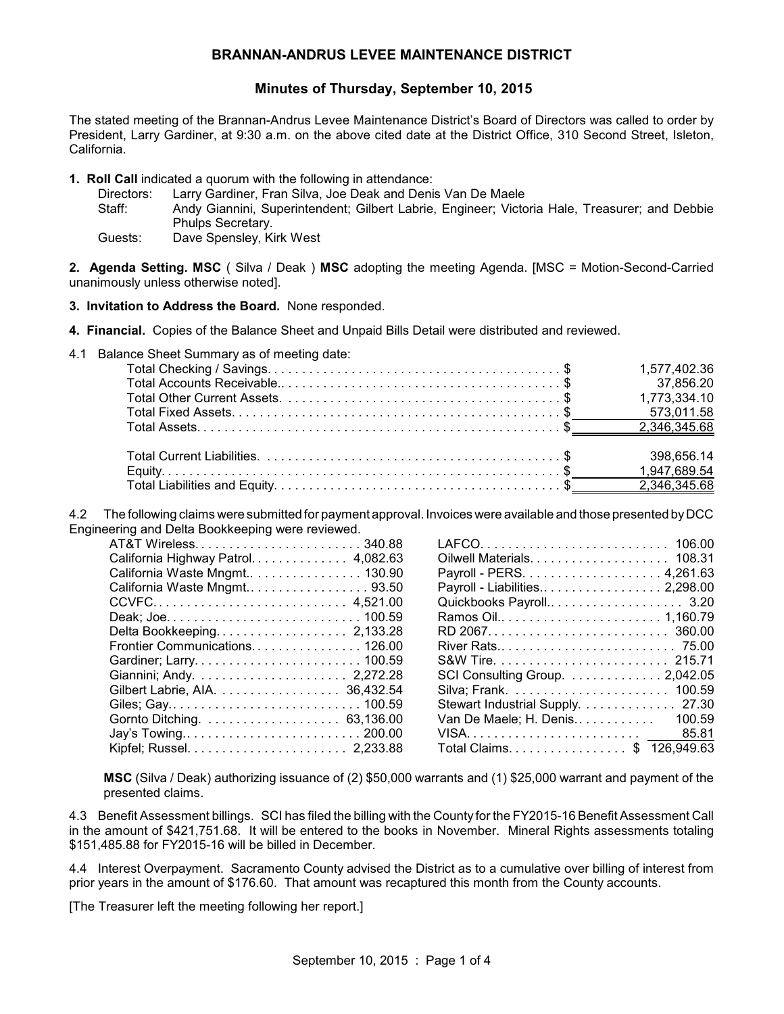## **BRANNAN-ANDRUS LEVEE MAINTENANCE DISTRICT**

# **Minutes of Thursday, September 10, 2015**

The stated meeting of the Brannan-Andrus Levee Maintenance District's Board of Directors was called to order by President, Larry Gardiner, at 9:30 a.m. on the above cited date at the District Office, 310 Second Street, Isleton, California.

- **1. Roll Call** indicated a quorum with the following in attendance:
	- Directors: Larry Gardiner, Fran Silva, Joe Deak and Denis Van De Maele

Staff: Andy Giannini, Superintendent; Gilbert Labrie, Engineer; Victoria Hale, Treasurer; and Debbie Phulps Secretary.

Guests: Dave Spensley, Kirk West

**2. Agenda Setting. MSC** ( Silva / Deak ) **MSC** adopting the meeting Agenda. [MSC = Motion-Second-Carried unanimously unless otherwise noted].

**3. Invitation to Address the Board.** None responded.

**4. Financial.** Copies of the Balance Sheet and Unpaid Bills Detail were distributed and reviewed.

4.1 Balance Sheet Summary as of meeting date:

| 1,577,402.36 |
|--------------|
| 37,856.20    |
| 1,773,334.10 |
| 573,011.58   |
|              |
|              |
| 398,656.14   |
|              |
|              |

4.2 The following claims were submitted for payment approval. Invoices were available and those presented byDCC Engineering and Delta Bookkeeping were reviewed.

| AT&T Wireless340.88                 |
|-------------------------------------|
| California Highway Patrol. 4,082.63 |
| California Waste Mngmt 130.90       |
| California Waste Mngmt 93.50        |
|                                     |
|                                     |
| Delta Bookkeeping 2,133.28          |
| Frontier Communications 126.00      |
|                                     |
|                                     |
| Gilbert Labrie, AIA. 36,432.54      |
| Giles; Gay 100.59                   |
|                                     |
|                                     |
|                                     |

| Payroll - Liabilities 2,298.00   |
|----------------------------------|
| Quickbooks Payroll 3.20          |
|                                  |
|                                  |
|                                  |
|                                  |
| SCI Consulting Group. 2,042.05   |
|                                  |
| Stewart Industrial Supply. 27.30 |
| 100.59<br>Van De Maele; H. Denis |
| 85.81                            |
| Total Claims. \$ 126,949.63      |

**MSC** (Silva / Deak) authorizing issuance of (2) \$50,000 warrants and (1) \$25,000 warrant and payment of the presented claims.

4.3 Benefit Assessment billings. SCI has filed the billing with the County for the FY2015-16 Benefit Assessment Call in the amount of \$421,751.68. It will be entered to the books in November. Mineral Rights assessments totaling \$151,485.88 for FY2015-16 will be billed in December.

4.4 Interest Overpayment. Sacramento County advised the District as to a cumulative over billing of interest from prior years in the amount of \$176.60. That amount was recaptured this month from the County accounts.

[The Treasurer left the meeting following her report.]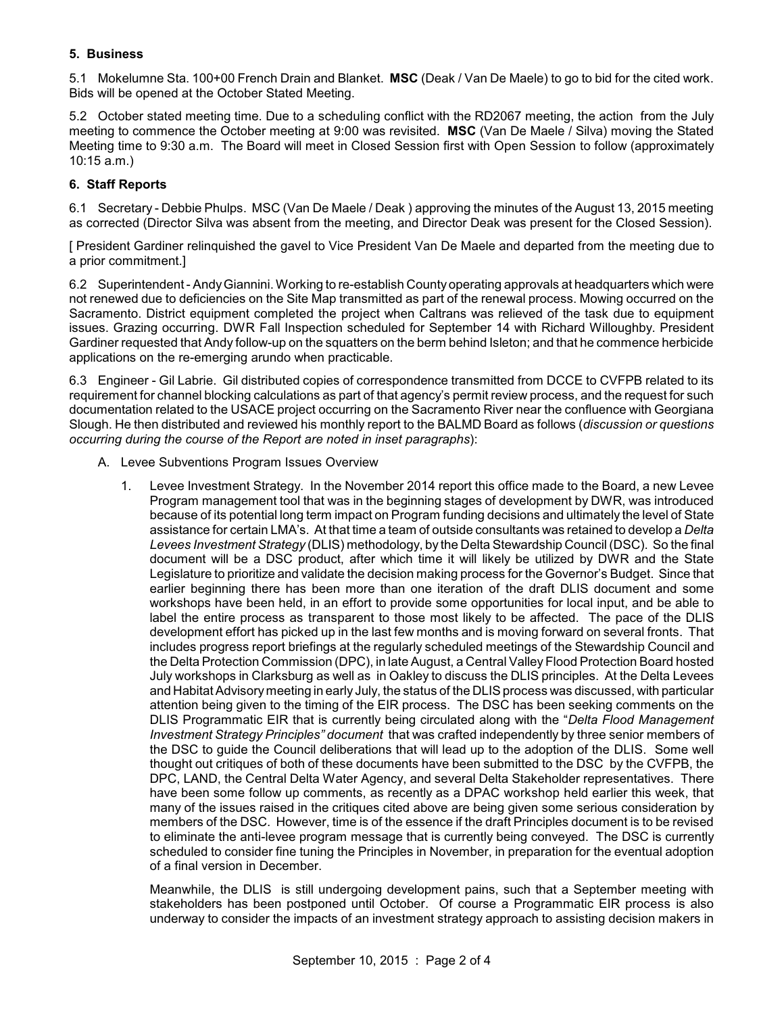## **5. Business**

5.1 Mokelumne Sta. 100+00 French Drain and Blanket. **MSC** (Deak / Van De Maele) to go to bid for the cited work. Bids will be opened at the October Stated Meeting.

5.2 October stated meeting time. Due to a scheduling conflict with the RD2067 meeting, the action from the July meeting to commence the October meeting at 9:00 was revisited. **MSC** (Van De Maele / Silva) moving the Stated Meeting time to 9:30 a.m. The Board will meet in Closed Session first with Open Session to follow (approximately 10:15 a.m.)

### **6. Staff Reports**

6.1 Secretary - Debbie Phulps. MSC (Van De Maele / Deak ) approving the minutes of the August 13, 2015 meeting as corrected (Director Silva was absent from the meeting, and Director Deak was present for the Closed Session).

[ President Gardiner relinquished the gavel to Vice President Van De Maele and departed from the meeting due to a prior commitment.]

6.2 Superintendent - AndyGiannini. Working to re-establish County operating approvals at headquarters which were not renewed due to deficiencies on the Site Map transmitted as part of the renewal process. Mowing occurred on the Sacramento. District equipment completed the project when Caltrans was relieved of the task due to equipment issues. Grazing occurring. DWR Fall Inspection scheduled for September 14 with Richard Willoughby. President Gardiner requested that Andy follow-up on the squatters on the berm behind Isleton; and that he commence herbicide applications on the re-emerging arundo when practicable.

6.3 Engineer - Gil Labrie. Gil distributed copies of correspondence transmitted from DCCE to CVFPB related to its requirement for channel blocking calculations as part of that agency's permit review process, and the request for such documentation related to the USACE project occurring on the Sacramento River near the confluence with Georgiana Slough. He then distributed and reviewed his monthly report to the BALMD Board as follows (*discussion or questions occurring during the course of the Report are noted in inset paragraphs*):

- A. Levee Subventions Program Issues Overview
	- 1. Levee Investment Strategy. In the November 2014 report this office made to the Board, a new Levee Program management tool that was in the beginning stages of development by DWR, was introduced because of its potential long term impact on Program funding decisions and ultimately the level of State assistance for certain LMA's. At that time a team of outside consultants was retained to develop a *Delta Levees Investment Strategy* (DLIS) methodology, by the Delta Stewardship Council (DSC). So the final document will be a DSC product, after which time it will likely be utilized by DWR and the State Legislature to prioritize and validate the decision making process for the Governor's Budget. Since that earlier beginning there has been more than one iteration of the draft DLIS document and some workshops have been held, in an effort to provide some opportunities for local input, and be able to label the entire process as transparent to those most likely to be affected. The pace of the DLIS development effort has picked up in the last few months and is moving forward on several fronts. That includes progress report briefings at the regularly scheduled meetings of the Stewardship Council and the Delta Protection Commission (DPC), in late August, a Central Valley Flood Protection Board hosted July workshops in Clarksburg as well as in Oakley to discuss the DLIS principles. At the Delta Levees and Habitat Advisory meeting in early July, the status of the DLIS process was discussed, with particular attention being given to the timing of the EIR process. The DSC has been seeking comments on the DLIS Programmatic EIR that is currently being circulated along with the "*Delta Flood Management Investment Strategy Principles" document* that was crafted independently by three senior members of the DSC to guide the Council deliberations that will lead up to the adoption of the DLIS. Some well thought out critiques of both of these documents have been submitted to the DSC by the CVFPB, the DPC, LAND, the Central Delta Water Agency, and several Delta Stakeholder representatives. There have been some follow up comments, as recently as a DPAC workshop held earlier this week, that many of the issues raised in the critiques cited above are being given some serious consideration by members of the DSC. However, time is of the essence if the draft Principles document is to be revised to eliminate the anti-levee program message that is currently being conveyed. The DSC is currently scheduled to consider fine tuning the Principles in November, in preparation for the eventual adoption of a final version in December.

Meanwhile, the DLIS is still undergoing development pains, such that a September meeting with stakeholders has been postponed until October. Of course a Programmatic EIR process is also underway to consider the impacts of an investment strategy approach to assisting decision makers in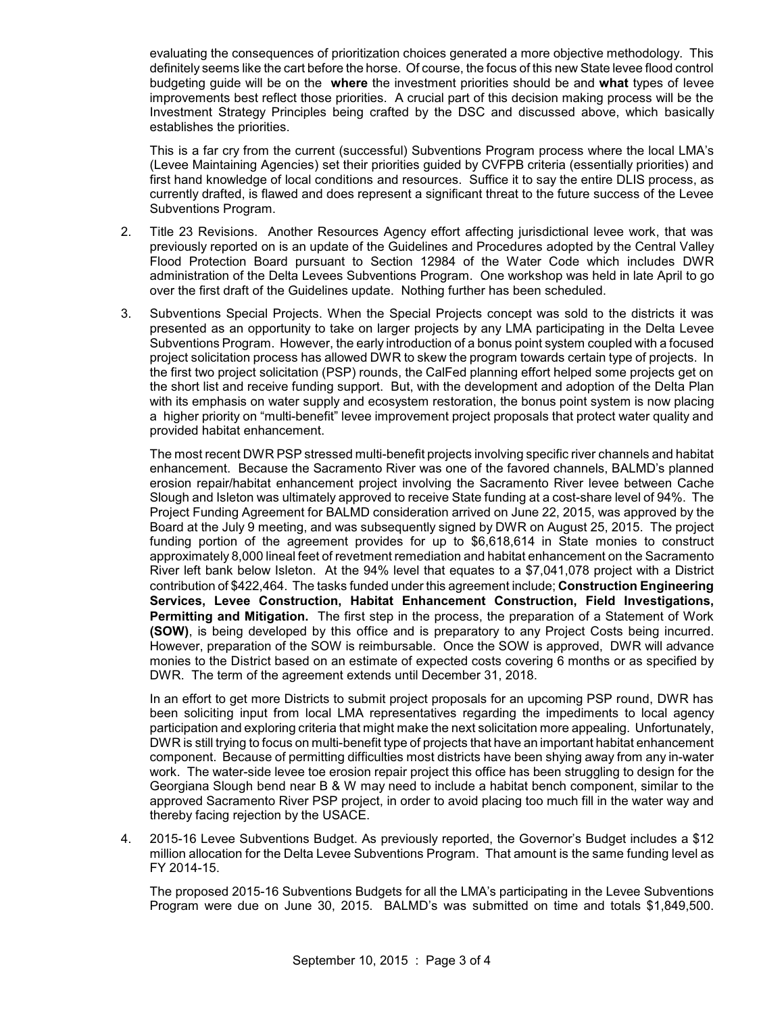evaluating the consequences of prioritization choices generated a more objective methodology. This definitely seems like the cart before the horse. Of course, the focus of this new State levee flood control budgeting guide will be on the **where** the investment priorities should be and **what** types of levee improvements best reflect those priorities. A crucial part of this decision making process will be the Investment Strategy Principles being crafted by the DSC and discussed above, which basically establishes the priorities.

This is a far cry from the current (successful) Subventions Program process where the local LMA's (Levee Maintaining Agencies) set their priorities guided by CVFPB criteria (essentially priorities) and first hand knowledge of local conditions and resources. Suffice it to say the entire DLIS process, as currently drafted, is flawed and does represent a significant threat to the future success of the Levee Subventions Program.

- 2. Title 23 Revisions. Another Resources Agency effort affecting jurisdictional levee work, that was previously reported on is an update of the Guidelines and Procedures adopted by the Central Valley Flood Protection Board pursuant to Section 12984 of the Water Code which includes DWR administration of the Delta Levees Subventions Program. One workshop was held in late April to go over the first draft of the Guidelines update. Nothing further has been scheduled.
- 3. Subventions Special Projects. When the Special Projects concept was sold to the districts it was presented as an opportunity to take on larger projects by any LMA participating in the Delta Levee Subventions Program. However, the early introduction of a bonus point system coupled with a focused project solicitation process has allowed DWR to skew the program towards certain type of projects. In the first two project solicitation (PSP) rounds, the CalFed planning effort helped some projects get on the short list and receive funding support. But, with the development and adoption of the Delta Plan with its emphasis on water supply and ecosystem restoration, the bonus point system is now placing a higher priority on "multi-benefit" levee improvement project proposals that protect water quality and provided habitat enhancement.

The most recent DWR PSP stressed multi-benefit projects involving specific river channels and habitat enhancement. Because the Sacramento River was one of the favored channels, BALMD's planned erosion repair/habitat enhancement project involving the Sacramento River levee between Cache Slough and Isleton was ultimately approved to receive State funding at a cost-share level of 94%. The Project Funding Agreement for BALMD consideration arrived on June 22, 2015, was approved by the Board at the July 9 meeting, and was subsequently signed by DWR on August 25, 2015. The project funding portion of the agreement provides for up to \$6,618,614 in State monies to construct approximately 8,000 lineal feet of revetment remediation and habitat enhancement on the Sacramento River left bank below Isleton. At the 94% level that equates to a \$7,041,078 project with a District contribution of \$422,464. The tasks funded under this agreement include; **Construction Engineering Services, Levee Construction, Habitat Enhancement Construction, Field Investigations, Permitting and Mitigation.** The first step in the process, the preparation of a Statement of Work **(SOW)**, is being developed by this office and is preparatory to any Project Costs being incurred. However, preparation of the SOW is reimbursable. Once the SOW is approved, DWR will advance monies to the District based on an estimate of expected costs covering 6 months or as specified by DWR. The term of the agreement extends until December 31, 2018.

In an effort to get more Districts to submit project proposals for an upcoming PSP round, DWR has been soliciting input from local LMA representatives regarding the impediments to local agency participation and exploring criteria that might make the next solicitation more appealing. Unfortunately, DWR is still trying to focus on multi-benefit type of projects that have an important habitat enhancement component. Because of permitting difficulties most districts have been shying away from any in-water work. The water-side levee toe erosion repair project this office has been struggling to design for the Georgiana Slough bend near B & W may need to include a habitat bench component, similar to the approved Sacramento River PSP project, in order to avoid placing too much fill in the water way and thereby facing rejection by the USACE.

4. 2015-16 Levee Subventions Budget. As previously reported, the Governor's Budget includes a \$12 million allocation for the Delta Levee Subventions Program. That amount is the same funding level as FY 2014-15.

The proposed 2015-16 Subventions Budgets for all the LMA's participating in the Levee Subventions Program were due on June 30, 2015. BALMD's was submitted on time and totals \$1,849,500.